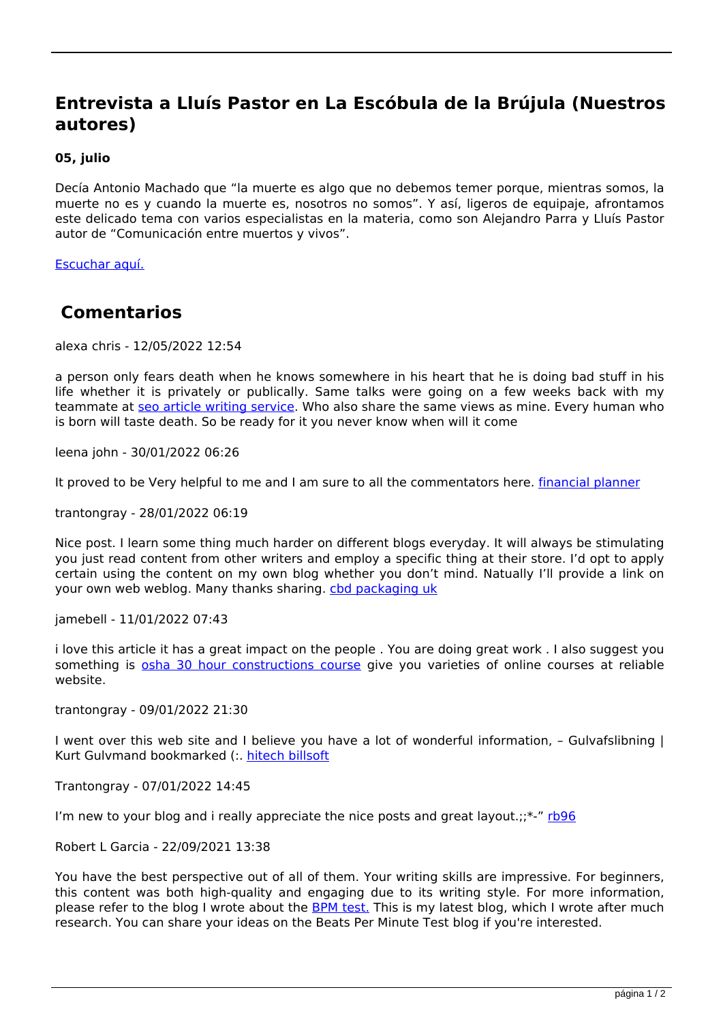## **Entrevista a Lluís Pastor en La Escóbula de la Brújula (Nuestros autores)**

## **05, julio**

Decía Antonio Machado que "la muerte es algo que no debemos temer porque, mientras somos, la muerte no es y cuando la muerte es, nosotros no somos". Y así, ligeros de equipaje, afrontamos este delicado tema con varios especialistas en la materia, como son Alejandro Parra y Lluís Pastor autor de "Comunicación entre muertos y vivos".

[Escuchar aquí.](https://www.ivoox.com/programa-292-morir-no-es-morir-audios-mp3_rf_37089141_1.html)

## **Comentarios**

alexa chris - 12/05/2022 12:54

a person only fears death when he knows somewhere in his heart that he is doing bad stuff in his life whether it is privately or publically. Same talks were going on a few weeks back with my teammate at [seo article writing service.](https://www.articlewritingservices.co.uk/) Who also share the same views as mine. Every human who is born will taste death. So be ready for it you never know when will it come

leena john - 30/01/2022 06:26

It proved to be Very helpful to me and I am sure to all the commentators here. *[financial planner](https://murrayfinancialservices.com/)* 

trantongray - 28/01/2022 06:19

Nice post. I learn some thing much harder on different blogs everyday. It will always be stimulating you just read content from other writers and employ a specific thing at their store. I'd opt to apply certain using the content on my own blog whether you don't mind. Natually I'll provide a link on your own web weblog. Many thanks sharing. [cbd packaging uk](https://cbdpackagingboxes.co.uk)

jamebell - 11/01/2022 07:43

i love this article it has a great impact on the people . You are doing great work . I also suggest you something is [osha 30 hour constructions course](https://getoshacourses.com) give you varieties of online courses at reliable website.

trantongray - 09/01/2022 21:30

I went over this web site and I believe you have a lot of wonderful information, – Gulvafslibning | Kurt Gulvmand bookmarked (:. [hitech billsoft](https://billingsoftwareindia.in/)

Trantongray - 07/01/2022 14:45

I'm new to your blog and i really appreciate the nice posts and great layout.; $\frac{x^2}{1096}$ 

Robert L Garcia - 22/09/2021 13:38

You have the best perspective out of all of them. Your writing skills are impressive. For beginners, this content was both high-quality and engaging due to its writing style. For more information, please refer to the blog I wrote about the [BPM test.](https://blog.storymirror.com/read/ajoxzrgn/3-ways-to-calculate-maximum-heart-rate-and-why-it-s-needed) This is my latest blog, which I wrote after much research. You can share your ideas on the Beats Per Minute Test blog if you're interested.